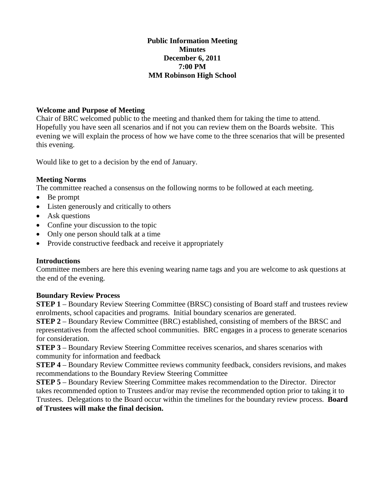### **Public Information Meeting Minutes December 6, 2011 7:00 PM MM Robinson High School**

### **Welcome and Purpose of Meeting**

Chair of BRC welcomed public to the meeting and thanked them for taking the time to attend. Hopefully you have seen all scenarios and if not you can review them on the Boards website. This evening we will explain the process of how we have come to the three scenarios that will be presented this evening.

Would like to get to a decision by the end of January.

### **Meeting Norms**

The committee reached a consensus on the following norms to be followed at each meeting.

- Be prompt
- Listen generously and critically to others
- Ask questions
- Confine your discussion to the topic
- Only one person should talk at a time
- Provide constructive feedback and receive it appropriately

### **Introductions**

Committee members are here this evening wearing name tags and you are welcome to ask questions at the end of the evening.

### **Boundary Review Process**

**STEP 1** – Boundary Review Steering Committee (BRSC) consisting of Board staff and trustees review enrolments, school capacities and programs. Initial boundary scenarios are generated.

**STEP 2** – Boundary Review Committee (BRC) established, consisting of members of the BRSC and representatives from the affected school communities. BRC engages in a process to generate scenarios for consideration.

**STEP 3** – Boundary Review Steering Committee receives scenarios, and shares scenarios with community for information and feedback

**STEP 4** – Boundary Review Committee reviews community feedback, considers revisions, and makes recommendations to the Boundary Review Steering Committee

**STEP 5** – Boundary Review Steering Committee makes recommendation to the Director. Director takes recommended option to Trustees and/or may revise the recommended option prior to taking it to Trustees. Delegations to the Board occur within the timelines for the boundary review process. **Board of Trustees will make the final decision.**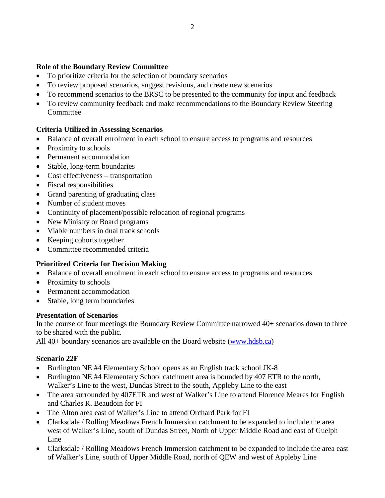### **Role of the Boundary Review Committee**

- To prioritize criteria for the selection of boundary scenarios
- To review proposed scenarios, suggest revisions, and create new scenarios
- To recommend scenarios to the BRSC to be presented to the community for input and feedback
- To review community feedback and make recommendations to the Boundary Review Steering **Committee**

## **Criteria Utilized in Assessing Scenarios**

- Balance of overall enrolment in each school to ensure access to programs and resources
- Proximity to schools
- Permanent accommodation
- Stable, long-term boundaries
- Cost effectiveness transportation
- Fiscal responsibilities
- Grand parenting of graduating class
- Number of student moves
- Continuity of placement/possible relocation of regional programs
- New Ministry or Board programs
- Viable numbers in dual track schools
- Keeping cohorts together
- Committee recommended criteria

## **Prioritized Criteria for Decision Making**

- Balance of overall enrolment in each school to ensure access to programs and resources
- Proximity to schools
- Permanent accommodation
- Stable, long term boundaries

### **Presentation of Scenarios**

In the course of four meetings the Boundary Review Committee narrowed 40+ scenarios down to three to be shared with the public.

All 40+ boundary scenarios are available on the Board website [\(www.hdsb.ca\)](http://www.hdsb.ca/)

### **Scenario 22F**

- Burlington NE #4 Elementary School opens as an English track school JK-8
- Burlington NE #4 Elementary School catchment area is bounded by 407 ETR to the north, Walker's Line to the west, Dundas Street to the south, Appleby Line to the east
- The area surrounded by 407ETR and west of Walker's Line to attend Florence Meares for English and Charles R. Beaudoin for FI
- The Alton area east of Walker's Line to attend Orchard Park for FI
- Clarksdale / Rolling Meadows French Immersion catchment to be expanded to include the area west of Walker's Line, south of Dundas Street, North of Upper Middle Road and east of Guelph Line
- Clarksdale / Rolling Meadows French Immersion catchment to be expanded to include the area east of Walker's Line, south of Upper Middle Road, north of QEW and west of Appleby Line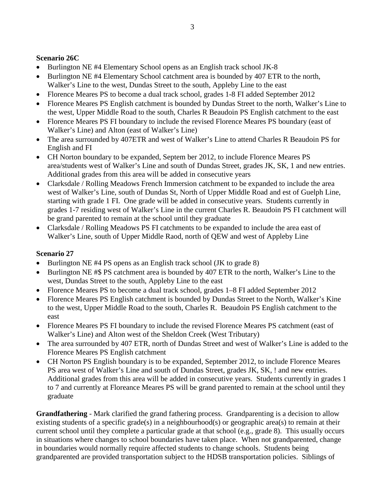# **Scenario 26C**

- Burlington NE #4 Elementary School opens as an English track school JK-8
- Burlington NE #4 Elementary School catchment area is bounded by 407 ETR to the north, Walker's Line to the west, Dundas Street to the south, Appleby Line to the east
- Florence Meares PS to become a dual track school, grades 1-8 FI added September 2012
- Florence Meares PS English catchment is bounded by Dundas Street to the north, Walker's Line to the west, Upper Middle Road to the south, Charles R Beaudoin PS English catchment to the east
- Florence Meares PS FI boundary to include the revised Florence Meares PS boundary (east of Walker's Line) and Alton (east of Walker's Line)
- The area surrounded by 407ETR and west of Walker's Line to attend Charles R Beaudoin PS for English and FI
- CH Norton boundary to be expanded, Septem ber 2012, to include Florence Meares PS area/students west of Walker's Line and south of Dundas Street, grades JK, SK, 1 and new entries. Additional grades from this area will be added in consecutive years
- Clarksdale / Rolling Meadows French Immersion catchment to be expanded to include the area west of Walker's Line, south of Dundas St, North of Upper Middle Road and est of Guelph Line, starting with grade 1 FI. One grade will be added in consecutive years. Students currently in grades 1-7 residing west of Walker's Line in the current Charles R. Beaudoin PS FI catchment will be grand parented to remain at the school until they graduate
- Clarksdale / Rolling Meadows PS FI catchments to be expanded to include the area east of Walker's Line, south of Upper Middle Raod, north of QEW and west of Appleby Line

# **Scenario 27**

- Burlington NE #4 PS opens as an English track school (JK to grade 8)
- Burlington NE #\$ PS catchment area is bounded by 407 ETR to the north, Walker's Line to the west, Dundas Street to the south, Appleby Line to the east
- Florence Meares PS to become a dual track school, grades 1–8 FI added September 2012
- Florence Meares PS English catchment is bounded by Dundas Street to the North, Walker's Kine to the west, Upper Middle Road to the south, Charles R. Beaudoin PS English catchment to the east
- Florence Meares PS FI boundary to include the revised Florence Meares PS catchment (east of Walker's Line) and Alton west of the Sheldon Creek (West Tributary)
- The area surrounded by 407 ETR, north of Dundas Street and west of Walker's Line is added to the Florence Meares PS English catchment
- CH Norton PS English boundary is to be expanded, September 2012, to include Florence Meares PS area west of Walker's Line and south of Dundas Street, grades JK, SK, ! and new entries. Additional grades from this area will be added in consecutive years. Students currently in grades 1 to 7 and currently at Floreance Meares PS will be grand parented to remain at the school until they graduate

**Grandfathering** - Mark clarified the grand fathering process. Grandparenting is a decision to allow existing students of a specific grade(s) in a neighbourhood(s) or geographic area(s) to remain at their current school until they complete a particular grade at that school (e.g., grade 8). This usually occurs in situations where changes to school boundaries have taken place. When not grandparented, change in boundaries would normally require affected students to change schools. Students being grandparented are provided transportation subject to the HDSB transportation policies. Siblings of